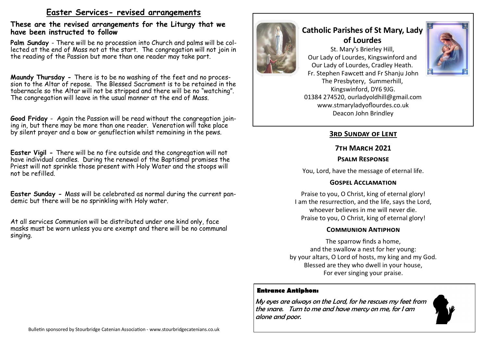# **Easter Services- revised arrangements**

#### **These are the revised arrangements for the Liturgy that we have been instructed to follow**

**Palm Sunday** - There will be no procession into Church and palms will be collected at the end of Mass not at the start. The congregation will not join in the reading of the Passion but more than one reader may take part.

**Maundy Thursday -** There is to be no washing of the feet and no procession to the Altar of repose. The Blessed Sacrament is to be retained in the tabernacle so the Altar will not be stripped and there will be no "watching". The congregation will leave in the usual manner at the end of Mass.

**Good Friday** - Again the Passion will be read without the congregation joining in, but there may be more than one reader. Veneration will take place by silent prayer and a bow or genuflection whilst remaining in the pews.

**Easter Vigil -** There will be no fire outside and the congregation will not have individual candles. During the renewal of the Baptismal promises the Priest will not sprinkle those present with Holy Water and the stoops will not be refilled.

**Easter Sunday -** Mass will be celebrated as normal during the current pandemic but there will be no sprinkling with Holy water.

At all services Communion will be distributed under one kind only, face masks must be worn unless you are exempt and there will be no communal singing.



# **Catholic Parishes of St Mary, Lady of Lourdes**

St. Mary's Brierley Hill, Our Lady of Lourdes, Kingswinford and Our Lady of Lourdes, Cradley Heath. Fr. Stephen Fawcett and Fr Shanju John The Presbytery, Summerhill, Kingswinford, DY6 9JG. 01384 274520, ourladyoldhill@gmail.com www.stmaryladyoflourdes.co.uk Deacon John Brindley



# **3rd Sunday of Lent**

## **7th March 2021**

## **Psalm Response**

You, Lord, have the message of eternal life.

# **Gospel Acclamation**

Praise to you, O Christ, king of eternal glory! I am the resurrection, and the life, says the Lord, whoever believes in me will never die. Praise to you, O Christ, king of eternal glory!

# **Communion Antiphon**

The sparrow finds a home, and the swallow a nest for her young: by your altars, O Lord of hosts, my king and my God. Blessed are they who dwell in your house, For ever singing your praise.

# **Entrance Antiphon:**

My eyes are always on the Lord, for he rescues my feet from the snare. Turn to me and have mercy on me, for I am alone and poor.